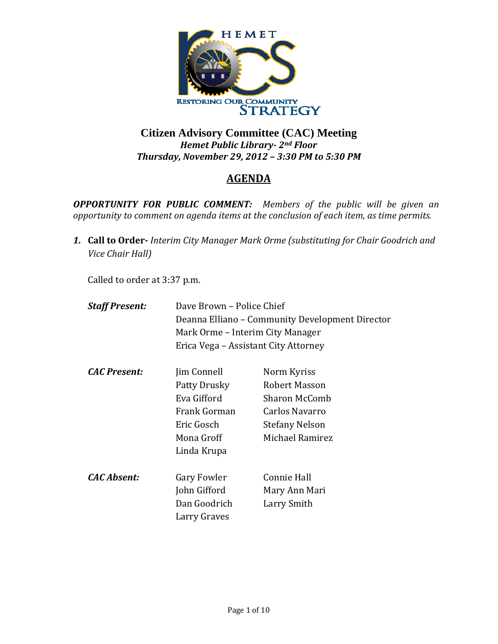

## **Citizen Advisory Committee (CAC) Meeting**  *Hemet Public Library 2nd Floor Thursday, November 29, 2012 – 3:30 PM to 5:30 PM*

# **AGENDA**

*OPPORTUNITY FOR PUBLIC COMMENT: Members of the public will be given an opportunity to comment on agenda items at the conclusion of each item, as time permits.*

*1.* **Call to Order** *Interim City Manager Mark Orme (substituting for Chair Goodrich and Vice Chair Hall)*

Called to order at 3:37 p.m.

| Dave Brown - Police Chief            |                                                 |
|--------------------------------------|-------------------------------------------------|
|                                      | Deanna Elliano – Community Development Director |
| Mark Orme – Interim City Manager     |                                                 |
| Erica Vega – Assistant City Attorney |                                                 |
| Jim Connell                          | Norm Kyriss                                     |
| Patty Drusky                         | Robert Masson                                   |
| Eva Gifford                          | <b>Sharon McComb</b>                            |
| Frank Gorman                         | Carlos Navarro                                  |
| Eric Gosch                           | Stefany Nelson                                  |
| Mona Groff                           | Michael Ramirez                                 |
| Linda Krupa                          |                                                 |
| Gary Fowler                          | <b>Connie Hall</b>                              |
| John Gifford                         | Mary Ann Mari                                   |
| Dan Goodrich                         | Larry Smith                                     |
| Larry Graves                         |                                                 |
|                                      |                                                 |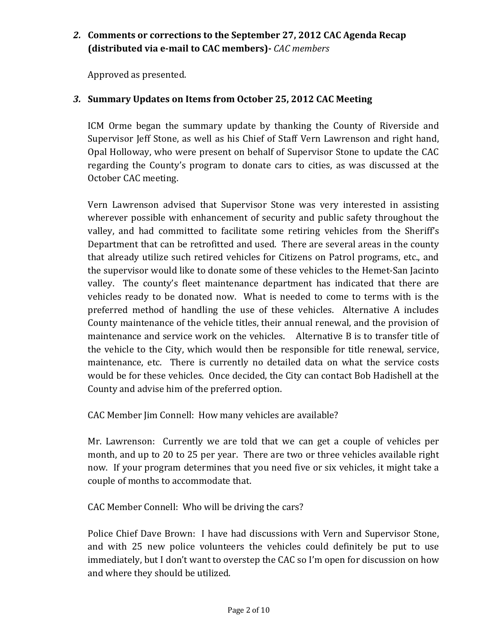# *2.* **Comments or corrections to the September 27, 2012 CAC Agenda Recap (distributed via email to CAC members)** *CAC members*

Approved as presented.

### *3.* **Summary Updates on Items from October 25, 2012 CAC Meeting**

ICM Orme began the summary update by thanking the County of Riverside and Supervisor Jeff Stone, as well as his Chief of Staff Vern Lawrenson and right hand, Opal Holloway, who were present on behalf of Supervisor Stone to update the CAC regarding the County's program to donate cars to cities, as was discussed at the October CAC meeting.

Vern Lawrenson advised that Supervisor Stone was very interested in assisting wherever possible with enhancement of security and public safety throughout the valley, and had committed to facilitate some retiring vehicles from the Sheriff's Department that can be retrofitted and used. There are several areas in the county that already utilize such retired vehicles for Citizens on Patrol programs, etc., and the supervisor would like to donate some of these vehicles to the Hemet‐San Jacinto valley. The county's fleet maintenance department has indicated that there are vehicles ready to be donated now. What is needed to come to terms with is the preferred method of handling the use of these vehicles. Alternative A includes County maintenance of the vehicle titles, their annual renewal, and the provision of maintenance and service work on the vehicles. Alternative B is to transfer title of the vehicle to the City, which would then be responsible for title renewal, service, maintenance, etc. There is currently no detailed data on what the service costs would be for these vehicles. Once decided, the City can contact Bob Hadishell at the County and advise him of the preferred option.

CAC Member Jim Connell: How many vehicles are available?

Mr. Lawrenson: Currently we are told that we can get a couple of vehicles per month, and up to 20 to 25 per year. There are two or three vehicles available right now. If your program determines that you need five or six vehicles, it might take a couple of months to accommodate that.

CAC Member Connell: Who will be driving the cars?

Police Chief Dave Brown: I have had discussions with Vern and Supervisor Stone, and with 25 new police volunteers the vehicles could definitely be put to use immediately, but I don't want to overstep the CAC so I'm open for discussion on how and where they should be utilized.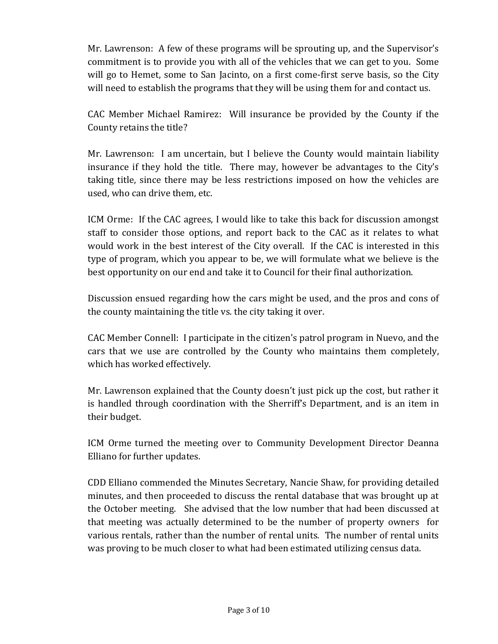Mr. Lawrenson: A few of these programs will be sprouting up, and the Supervisor's commitment is to provide you with all of the vehicles that we can get to you. Some will go to Hemet, some to San Jacinto, on a first come-first serve basis, so the City will need to establish the programs that they will be using them for and contact us.

CAC Member Michael Ramirez: Will insurance be provided by the County if the County retains the title?

Mr. Lawrenson: I am uncertain, but I believe the County would maintain liability insurance if they hold the title. There may, however be advantages to the City's taking title, since there may be less restrictions imposed on how the vehicles are used, who can drive them, etc.

ICM Orme: If the CAC agrees, I would like to take this back for discussion amongst staff to consider those options, and report back to the CAC as it relates to what would work in the best interest of the City overall. If the CAC is interested in this type of program, which you appear to be, we will formulate what we believe is the best opportunity on our end and take it to Council for their final authorization.

Discussion ensued regarding how the cars might be used, and the pros and cons of the county maintaining the title vs. the city taking it over.

CAC Member Connell: I participate in the citizen's patrol program in Nuevo, and the cars that we use are controlled by the County who maintains them completely, which has worked effectively.

Mr. Lawrenson explained that the County doesn't just pick up the cost, but rather it is handled through coordination with the Sherriff's Department, and is an item in their budget.

ICM Orme turned the meeting over to Community Development Director Deanna Elliano for further updates.

CDD Elliano commended the Minutes Secretary, Nancie Shaw, for providing detailed minutes, and then proceeded to discuss the rental database that was brought up at the October meeting. She advised that the low number that had been discussed at that meeting was actually determined to be the number of property owners for various rentals, rather than the number of rental units. The number of rental units was proving to be much closer to what had been estimated utilizing census data.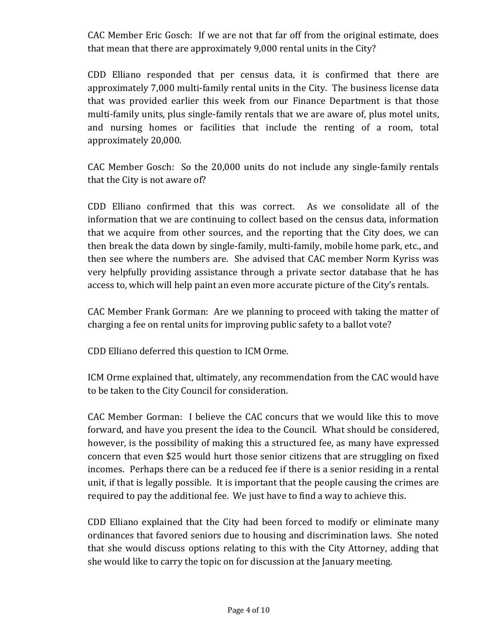CAC Member Eric Gosch: If we are not that far off from the original estimate, does that mean that there are approximately 9,000 rental units in the City?

CDD Elliano responded that per census data, it is confirmed that there are approximately 7,000 multi‐family rental units in the City. The business license data that was provided earlier this week from our Finance Department is that those multi-family units, plus single-family rentals that we are aware of, plus motel units, and nursing homes or facilities that include the renting of a room, total approximately 20,000.

CAC Member Gosch: So the 20,000 units do not include any single‐family rentals that the City is not aware of?

CDD Elliano confirmed that this was correct. As we consolidate all of the information that we are continuing to collect based on the census data, information that we acquire from other sources, and the reporting that the City does, we can then break the data down by single‐family, multi‐family, mobile home park, etc., and then see where the numbers are. She advised that CAC member Norm Kyriss was very helpfully providing assistance through a private sector database that he has access to, which will help paint an even more accurate picture of the City's rentals.

CAC Member Frank Gorman: Are we planning to proceed with taking the matter of charging a fee on rental units for improving public safety to a ballot vote?

CDD Elliano deferred this question to ICM Orme.

ICM Orme explained that, ultimately, any recommendation from the CAC would have to be taken to the City Council for consideration.

CAC Member Gorman: I believe the CAC concurs that we would like this to move forward, and have you present the idea to the Council. What should be considered, however, is the possibility of making this a structured fee, as many have expressed concern that even \$25 would hurt those senior citizens that are struggling on fixed incomes. Perhaps there can be a reduced fee if there is a senior residing in a rental unit, if that is legally possible. It is important that the people causing the crimes are required to pay the additional fee. We just have to find a way to achieve this.

CDD Elliano explained that the City had been forced to modify or eliminate many ordinances that favored seniors due to housing and discrimination laws. She noted that she would discuss options relating to this with the City Attorney, adding that she would like to carry the topic on for discussion at the January meeting.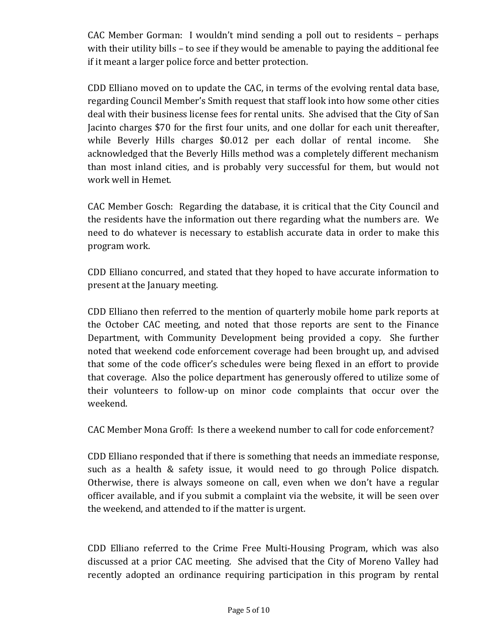CAC Member Gorman: I wouldn't mind sending a poll out to residents – perhaps with their utility bills – to see if they would be amenable to paying the additional fee if it meant a larger police force and better protection.

CDD Elliano moved on to update the CAC, in terms of the evolving rental data base, regarding Council Member's Smith request that staff look into how some other cities deal with their business license fees for rental units. She advised that the City of San Jacinto charges \$70 for the first four units, and one dollar for each unit thereafter, while Beverly Hills charges \$0.012 per each dollar of rental income. She acknowledged that the Beverly Hills method was a completely different mechanism than most inland cities, and is probably very successful for them, but would not work well in Hemet.

CAC Member Gosch: Regarding the database, it is critical that the City Council and the residents have the information out there regarding what the numbers are. We need to do whatever is necessary to establish accurate data in order to make this program work.

CDD Elliano concurred, and stated that they hoped to have accurate information to present at the January meeting.

CDD Elliano then referred to the mention of quarterly mobile home park reports at the October CAC meeting, and noted that those reports are sent to the Finance Department, with Community Development being provided a copy. She further noted that weekend code enforcement coverage had been brought up, and advised that some of the code officer's schedules were being flexed in an effort to provide that coverage. Also the police department has generously offered to utilize some of their volunteers to follow‐up on minor code complaints that occur over the weekend.

CAC Member Mona Groff: Is there a weekend number to call for code enforcement?

CDD Elliano responded that if there is something that needs an immediate response, such as a health & safety issue, it would need to go through Police dispatch. Otherwise, there is always someone on call, even when we don't have a regular officer available, and if you submit a complaint via the website, it will be seen over the weekend, and attended to if the matter is urgent.

CDD Elliano referred to the Crime Free Multi‐Housing Program, which was also discussed at a prior CAC meeting. She advised that the City of Moreno Valley had recently adopted an ordinance requiring participation in this program by rental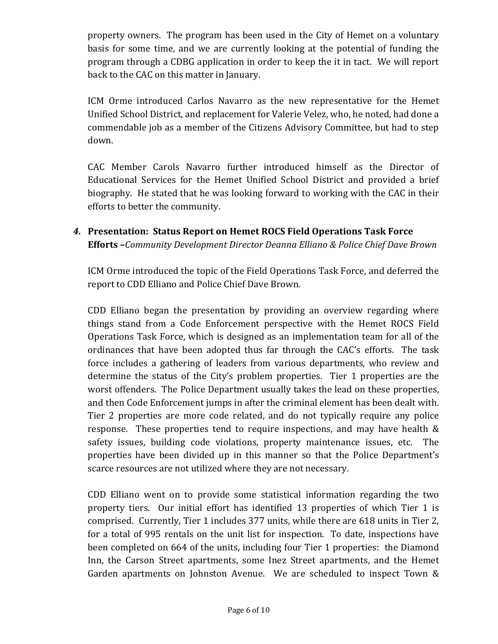property owners. The program has been used in the City of Hemet on a voluntary basis for some time, and we are currently looking at the potential of funding the program through a CDBG application in order to keep the it in tact. We will report back to the CAC on this matter in January.

ICM Orme introduced Carlos Navarro as the new representative for the Hemet Unified School District, and replacement for Valerie Velez, who, he noted, had done a commendable job as a member of the Citizens Advisory Committee, but had to step down.

CAC Member Carols Navarro further introduced himself as the Director of Educational Services for the Hemet Unified School District and provided a brief biography. He stated that he was looking forward to working with the CAC in their efforts to better the community.

*4.* **Presentation: Status Report on Hemet ROCS Field Operations Task Force Efforts –***Community Development Director Deanna Elliano & Police Chief Dave Brown*

ICM Orme introduced the topic of the Field Operations Task Force, and deferred the report to CDD Elliano and Police Chief Dave Brown.

CDD Elliano began the presentation by providing an overview regarding where things stand from a Code Enforcement perspective with the Hemet ROCS Field Operations Task Force, which is designed as an implementation team for all of the ordinances that have been adopted thus far through the CAC's efforts. The task force includes a gathering of leaders from various departments, who review and determine the status of the City's problem properties. Tier 1 properties are the worst offenders. The Police Department usually takes the lead on these properties, and then Code Enforcement jumps in after the criminal element has been dealt with. Tier 2 properties are more code related, and do not typically require any police response. These properties tend to require inspections, and may have health  $\&$ safety issues, building code violations, property maintenance issues, etc. The properties have been divided up in this manner so that the Police Department's scarce resources are not utilized where they are not necessary.

CDD Elliano went on to provide some statistical information regarding the two property tiers. Our initial effort has identified 13 properties of which Tier 1 is comprised. Currently, Tier 1 includes 377 units, while there are 618 units in Tier 2, for a total of 995 rentals on the unit list for inspection. To date, inspections have been completed on 664 of the units, including four Tier 1 properties: the Diamond Inn, the Carson Street apartments, some Inez Street apartments, and the Hemet Garden apartments on Johnston Avenue. We are scheduled to inspect Town &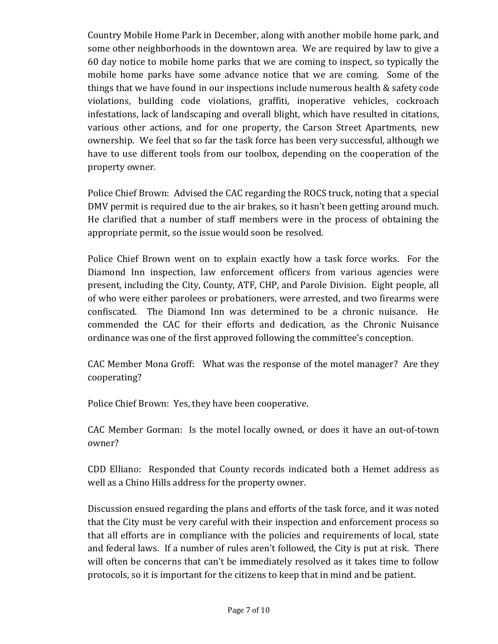Country Mobile Home Park in December, along with another mobile home park, and some other neighborhoods in the downtown area. We are required by law to give a 60 day notice to mobile home parks that we are coming to inspect, so typically the mobile home parks have some advance notice that we are coming. Some of the things that we have found in our inspections include numerous health & safety code violations, building code violations, graffiti, inoperative vehicles, cockroach infestations, lack of landscaping and overall blight, which have resulted in citations, various other actions, and for one property, the Carson Street Apartments, new ownership. We feel that so far the task force has been very successful, although we have to use different tools from our toolbox, depending on the cooperation of the property owner.

Police Chief Brown: Advised the CAC regarding the ROCS truck, noting that a special DMV permit is required due to the air brakes, so it hasn't been getting around much. He clarified that a number of staff members were in the process of obtaining the appropriate permit, so the issue would soon be resolved.

Police Chief Brown went on to explain exactly how a task force works. For the Diamond Inn inspection, law enforcement officers from various agencies were present, including the City, County, ATF, CHP, and Parole Division. Eight people, all of who were either parolees or probationers, were arrested, and two firearms were confiscated. The Diamond Inn was determined to be a chronic nuisance. He commended the CAC for their efforts and dedication, as the Chronic Nuisance ordinance was one of the first approved following the committee's conception.

CAC Member Mona Groff: What was the response of the motel manager? Are they cooperating?

Police Chief Brown: Yes, they have been cooperative.

CAC Member Gorman: Is the motel locally owned, or does it have an out‐of‐town owner?

CDD Elliano: Responded that County records indicated both a Hemet address as well as a Chino Hills address for the property owner.

Discussion ensued regarding the plans and efforts of the task force, and it was noted that the City must be very careful with their inspection and enforcement process so that all efforts are in compliance with the policies and requirements of local, state and federal laws. If a number of rules aren't followed, the City is put at risk. There will often be concerns that can't be immediately resolved as it takes time to follow protocols, so it is important for the citizens to keep that in mind and be patient.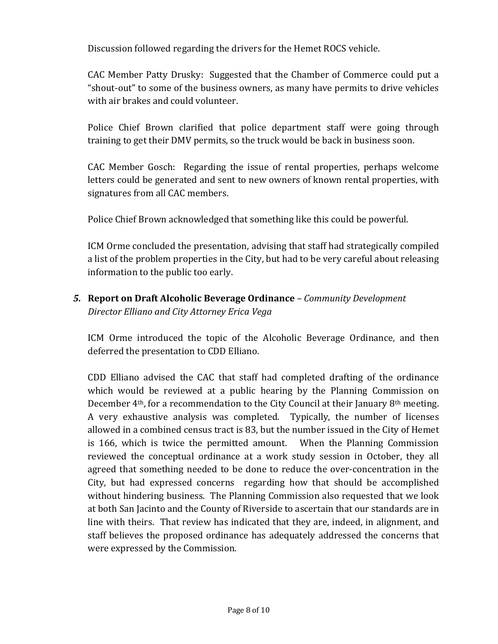Discussion followed regarding the drivers for the Hemet ROCS vehicle.

CAC Member Patty Drusky: Suggested that the Chamber of Commerce could put a "shout‐out" to some of the business owners, as many have permits to drive vehicles with air brakes and could volunteer.

Police Chief Brown clarified that police department staff were going through training to get their DMV permits, so the truck would be back in business soon.

CAC Member Gosch: Regarding the issue of rental properties, perhaps welcome letters could be generated and sent to new owners of known rental properties, with signatures from all CAC members.

Police Chief Brown acknowledged that something like this could be powerful.

ICM Orme concluded the presentation, advising that staff had strategically compiled a list of the problem properties in the City, but had to be very careful about releasing information to the public too early.

*5.* **Report on Draft Alcoholic Beverage Ordinance** *– Community Development Director Elliano and City Attorney Erica Vega*

ICM Orme introduced the topic of the Alcoholic Beverage Ordinance, and then deferred the presentation to CDD Elliano.

CDD Elliano advised the CAC that staff had completed drafting of the ordinance which would be reviewed at a public hearing by the Planning Commission on December 4th, for a recommendation to the City Council at their January 8th meeting. A very exhaustive analysis was completed. Typically, the number of licenses allowed in a combined census tract is 83, but the number issued in the City of Hemet is 166, which is twice the permitted amount. When the Planning Commission reviewed the conceptual ordinance at a work study session in October, they all agreed that something needed to be done to reduce the over‐concentration in the City, but had expressed concerns regarding how that should be accomplished without hindering business. The Planning Commission also requested that we look at both San Jacinto and the County of Riverside to ascertain that our standards are in line with theirs. That review has indicated that they are, indeed, in alignment, and staff believes the proposed ordinance has adequately addressed the concerns that were expressed by the Commission.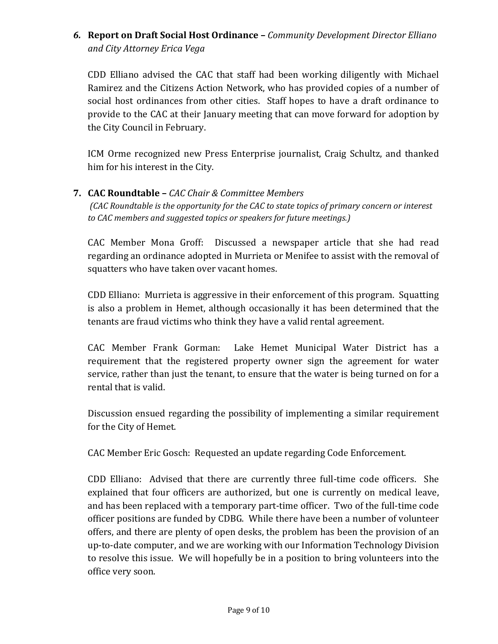*6.* **Report on Draft Social Host Ordinance –** *Community Development Director Elliano and City Attorney Erica Vega*

CDD Elliano advised the CAC that staff had been working diligently with Michael Ramirez and the Citizens Action Network, who has provided copies of a number of social host ordinances from other cities. Staff hopes to have a draft ordinance to provide to the CAC at their January meeting that can move forward for adoption by the City Council in February.

ICM Orme recognized new Press Enterprise journalist, Craig Schultz, and thanked him for his interest in the City.

#### **7. CAC Roundtable –** *CAC Chair & Committee Members*

*(CAC Roundtable is the opportunity for the CAC to state topics of primary concern or interest to CAC members and suggested topics or speakers for future meetings.)*

CAC Member Mona Groff: Discussed a newspaper article that she had read regarding an ordinance adopted in Murrieta or Menifee to assist with the removal of squatters who have taken over vacant homes.

CDD Elliano: Murrieta is aggressive in their enforcement of this program. Squatting is also a problem in Hemet, although occasionally it has been determined that the tenants are fraud victims who think they have a valid rental agreement.

CAC Member Frank Gorman: Lake Hemet Municipal Water District has a requirement that the registered property owner sign the agreement for water service, rather than just the tenant, to ensure that the water is being turned on for a rental that is valid.

Discussion ensued regarding the possibility of implementing a similar requirement for the City of Hemet.

CAC Member Eric Gosch: Requested an update regarding Code Enforcement.

CDD Elliano: Advised that there are currently three full‐time code officers. She explained that four officers are authorized, but one is currently on medical leave, and has been replaced with a temporary part‐time officer. Two of the full‐time code officer positions are funded by CDBG. While there have been a number of volunteer offers, and there are plenty of open desks, the problem has been the provision of an up‐to‐date computer, and we are working with our Information Technology Division to resolve this issue. We will hopefully be in a position to bring volunteers into the office very soon.